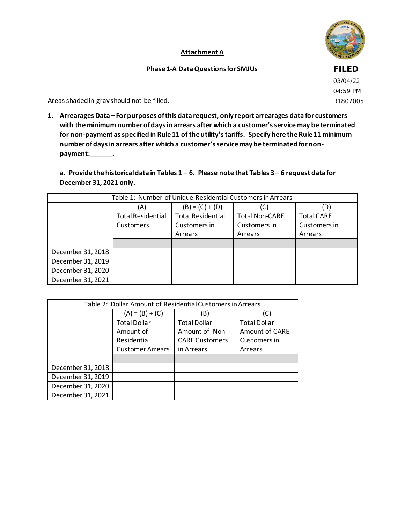

## **Attachment A**

## **Phase 1-A Data Questions for SMJUs**

**FILED**

03/04/22 04:59 PM R1807005

Areas shaded in gray should not be filled.

**1. Arrearages Data – For purposes of this data request, only report arrearages data for customers with the minimum number of days in arrears after which a customer's service may be terminated for non-payment as specified in Rule 11 of the utility's tariffs. Specify here the Rule 11 minimum number of days in arrears after which a customer's service may be terminated for nonpayment:\_\_\_\_\_\_.**

**a. Provide the historical data in Tables 1 – 6. Please note that Tables 3 – 6 request data for December 31, 2021 only.**

| Table 1: Number of Unique Residential Customers in Arrears |                          |                          |                       |                   |
|------------------------------------------------------------|--------------------------|--------------------------|-----------------------|-------------------|
|                                                            | (A)                      | $(B) = (C) + (D)$        | (C                    |                   |
|                                                            | <b>Total Residential</b> | <b>Total Residential</b> | <b>Total Non-CARE</b> | <b>Total CARE</b> |
|                                                            | Customers                | Customers in             | Customers in          | Customers in      |
|                                                            |                          | Arrears                  | Arrears               | Arrears           |
|                                                            |                          |                          |                       |                   |
| December 31, 2018                                          |                          |                          |                       |                   |
| December 31, 2019                                          |                          |                          |                       |                   |
| December 31, 2020                                          |                          |                          |                       |                   |
| December 31, 2021                                          |                          |                          |                       |                   |

| Table 2: Dollar Amount of Residential Customers in Arrears |                         |                       |                     |  |  |
|------------------------------------------------------------|-------------------------|-----------------------|---------------------|--|--|
|                                                            | $(A) = (B) + (C)$       | (B)                   | (C)                 |  |  |
|                                                            | <b>Total Dollar</b>     | <b>Total Dollar</b>   | <b>Total Dollar</b> |  |  |
|                                                            | Amount of               | Amount of Non-        | Amount of CARE      |  |  |
|                                                            | Residential             | <b>CARE Customers</b> | Customers in        |  |  |
|                                                            | <b>Customer Arrears</b> | in Arrears            | Arrears             |  |  |
|                                                            |                         |                       |                     |  |  |
| December 31, 2018                                          |                         |                       |                     |  |  |
| December 31, 2019                                          |                         |                       |                     |  |  |
| December 31, 2020                                          |                         |                       |                     |  |  |
| December 31, 2021                                          |                         |                       |                     |  |  |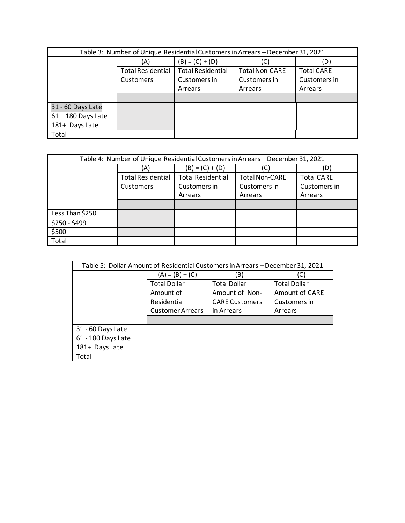| Table 3: Number of Unique Residential Customers in Arrears - December 31, 2021 |                          |                          |                       |                   |
|--------------------------------------------------------------------------------|--------------------------|--------------------------|-----------------------|-------------------|
|                                                                                | (A)                      | $(B) = (C) + (D)$        | (C)                   |                   |
|                                                                                | <b>Total Residential</b> | <b>Total Residential</b> | <b>Total Non-CARE</b> | <b>Total CARE</b> |
|                                                                                | Customers                | Customers in             | Customers in          | Customers in      |
|                                                                                |                          | Arrears                  | Arrears               | Arrears           |
|                                                                                |                          |                          |                       |                   |
| 31 - 60 Days Late                                                              |                          |                          |                       |                   |
| $61 - 180$ Days Late                                                           |                          |                          |                       |                   |
| 181+ Days Late                                                                 |                          |                          |                       |                   |
| Total                                                                          |                          |                          |                       |                   |

| Table 4: Number of Unique Residential Customers in Arrears - December 31, 2021 |                          |                          |                       |                   |
|--------------------------------------------------------------------------------|--------------------------|--------------------------|-----------------------|-------------------|
|                                                                                | (A)                      | $(B) = (C) + (D)$        |                       | (D)               |
|                                                                                | <b>Total Residential</b> | <b>Total Residential</b> | <b>Total Non-CARE</b> | <b>Total CARE</b> |
|                                                                                | Customers                | Customers in             | Customers in          | Customers in      |
|                                                                                |                          | Arrears                  | Arrears               | Arrears           |
|                                                                                |                          |                          |                       |                   |
| Less Than \$250                                                                |                          |                          |                       |                   |
| $$250 - $499$                                                                  |                          |                          |                       |                   |
| $$500+$                                                                        |                          |                          |                       |                   |
| Total                                                                          |                          |                          |                       |                   |

| Table 5: Dollar Amount of Residential Customers in Arrears - December 31, 2021 |                         |                       |                     |  |
|--------------------------------------------------------------------------------|-------------------------|-----------------------|---------------------|--|
|                                                                                | $(A) = (B) + (C)$       | B)                    |                     |  |
|                                                                                | <b>Total Dollar</b>     | <b>Total Dollar</b>   | <b>Total Dollar</b> |  |
|                                                                                | Amount of               | Amount of Non-        | Amount of CARE      |  |
|                                                                                | Residential             | <b>CARE Customers</b> | Customers in        |  |
|                                                                                | <b>Customer Arrears</b> | in Arrears            | Arrears             |  |
|                                                                                |                         |                       |                     |  |
| 31 - 60 Days Late                                                              |                         |                       |                     |  |
| 61 - 180 Days Late                                                             |                         |                       |                     |  |
| 181+ Days Late                                                                 |                         |                       |                     |  |
| Total                                                                          |                         |                       |                     |  |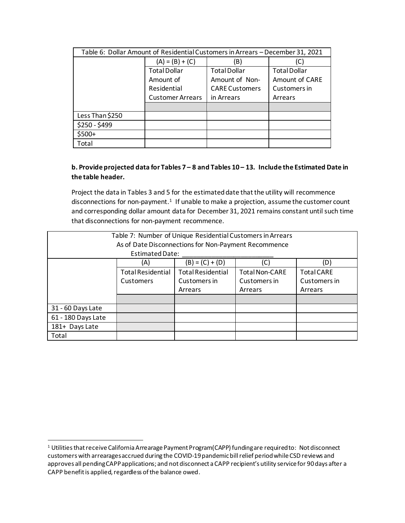| Table 6: Dollar Amount of Residential Customers in Arrears - December 31, 2021 |                         |                       |                     |  |
|--------------------------------------------------------------------------------|-------------------------|-----------------------|---------------------|--|
|                                                                                | $(A) = (B) + (C)$       |                       | (C)                 |  |
|                                                                                | <b>Total Dollar</b>     | <b>Total Dollar</b>   | <b>Total Dollar</b> |  |
|                                                                                | Amount of               | Amount of Non-        | Amount of CARE      |  |
|                                                                                | Residential             | <b>CARE Customers</b> | Customers in        |  |
|                                                                                | <b>Customer Arrears</b> | in Arrears            | Arrears             |  |
|                                                                                |                         |                       |                     |  |
| Less Than \$250                                                                |                         |                       |                     |  |
| \$250 - \$499                                                                  |                         |                       |                     |  |
| \$500+                                                                         |                         |                       |                     |  |
| Total                                                                          |                         |                       |                     |  |

## **b. Provide projected data for Tables 7 – 8 and Tables 10 – 13. Include the Estimated Date in the table header.**

Project the data in Tables 3 and 5 for the estimated date that the utility will recommence disconnections for non-payment.<sup>1</sup> If unable to make a projection, assume the customer count and corresponding dollar amount data for December 31, 2021 remains constant until such time that disconnections for non-payment recommence.

| Table 7: Number of Unique Residential Customers in Arrears |                                                                                                    |                                                      |    |     |  |
|------------------------------------------------------------|----------------------------------------------------------------------------------------------------|------------------------------------------------------|----|-----|--|
|                                                            |                                                                                                    | As of Date Disconnections for Non-Payment Recommence |    |     |  |
|                                                            | <b>Estimated Date:</b>                                                                             |                                                      |    |     |  |
|                                                            | (A)                                                                                                | $(B) = (C) + (D)$                                    | (C | (D) |  |
|                                                            | <b>Total Residential</b><br><b>Total Residential</b><br><b>Total Non-CARE</b><br><b>Total CARE</b> |                                                      |    |     |  |
|                                                            | Customers in<br>Customers in<br>Customers in<br>Customers                                          |                                                      |    |     |  |
|                                                            | Arrears<br>Arrears<br>Arrears                                                                      |                                                      |    |     |  |
|                                                            |                                                                                                    |                                                      |    |     |  |
| 31 - 60 Days Late                                          |                                                                                                    |                                                      |    |     |  |
| 61 - 180 Days Late                                         |                                                                                                    |                                                      |    |     |  |
| 181+ Days Late                                             |                                                                                                    |                                                      |    |     |  |
| Total                                                      |                                                                                                    |                                                      |    |     |  |

<sup>&</sup>lt;sup>1</sup> Utilities that receive California Arrearage Payment Program(CAPP) funding are required to: Not disconnect customers with arrearages accrued during the COVID-19 pandemic bill relief period while CSD reviews and approves all pending CAPP applications; and not disconnect a CAPP recipient's utility service for 90 days after a CAPP benefit is applied, regardless of the balance owed.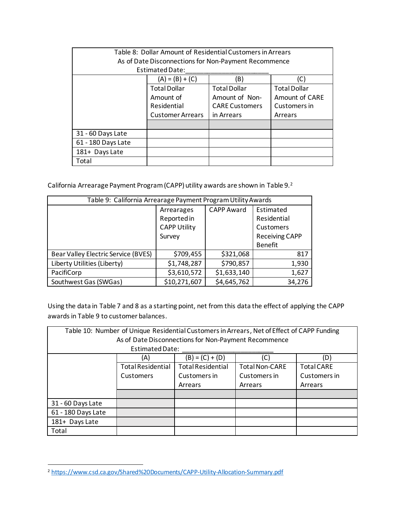| Table 8: Dollar Amount of Residential Customers in Arrears |                                               |                                                      |                     |  |  |  |
|------------------------------------------------------------|-----------------------------------------------|------------------------------------------------------|---------------------|--|--|--|
|                                                            |                                               | As of Date Disconnections for Non-Payment Recommence |                     |  |  |  |
|                                                            | <b>Estimated Date:</b>                        |                                                      |                     |  |  |  |
|                                                            | $(A) = (B) + (C)$                             | (B)                                                  | C.                  |  |  |  |
|                                                            | <b>Total Dollar</b>                           | <b>Total Dollar</b>                                  | <b>Total Dollar</b> |  |  |  |
|                                                            | Amount of CARE<br>Amount of Non-<br>Amount of |                                                      |                     |  |  |  |
|                                                            | Residential                                   | <b>CARE Customers</b>                                | Customers in        |  |  |  |
|                                                            | <b>Customer Arrears</b>                       | in Arrears                                           | Arrears             |  |  |  |
|                                                            |                                               |                                                      |                     |  |  |  |
| 31 - 60 Days Late                                          |                                               |                                                      |                     |  |  |  |
| 61 - 180 Days Late                                         |                                               |                                                      |                     |  |  |  |
| 181+ Days Late                                             |                                               |                                                      |                     |  |  |  |
| Total                                                      |                                               |                                                      |                     |  |  |  |

California Arrearage Payment Program (CAPP) utility awards are shown in Table 9.<sup>2</sup>

| Table 9: California Arrearage Payment Program Utility Awards |                     |                   |                       |  |
|--------------------------------------------------------------|---------------------|-------------------|-----------------------|--|
|                                                              | Arrearages          | <b>CAPP Award</b> | Estimated             |  |
|                                                              | Reported in         |                   | Residential           |  |
|                                                              | <b>CAPP Utility</b> |                   | Customers             |  |
|                                                              | Survey              |                   | <b>Receiving CAPP</b> |  |
|                                                              |                     |                   | <b>Benefit</b>        |  |
| Bear Valley Electric Service (BVES)                          | \$709,455           | \$321,068         | 817                   |  |
| Liberty Utilities (Liberty)                                  | \$1,748,287         | \$790,857         | 1,930                 |  |
| PacifiCorp                                                   | \$3,610,572         | \$1,633,140       | 1,627                 |  |
| Southwest Gas (SWGas)                                        | \$10,271,607        | \$4,645,762       | 34,276                |  |

Using the data in Table 7 and 8 as a starting point, net from this data the effect of applying the CAPP awards in Table 9 to customer balances.

| Table 10: Number of Unique Residential Customers in Arrears, Net of Effect of CAPP Funding |                                                                                                    |                                                      |  |     |  |
|--------------------------------------------------------------------------------------------|----------------------------------------------------------------------------------------------------|------------------------------------------------------|--|-----|--|
|                                                                                            |                                                                                                    | As of Date Disconnections for Non-Payment Recommence |  |     |  |
|                                                                                            | <b>Estimated Date:</b>                                                                             |                                                      |  |     |  |
|                                                                                            | (A)                                                                                                | $(B) = (C) + (D)$                                    |  | (D) |  |
|                                                                                            | <b>Total Residential</b><br><b>Total Residential</b><br><b>Total Non-CARE</b><br><b>Total CARE</b> |                                                      |  |     |  |
|                                                                                            | Customers in<br>Customers in<br>Customers in<br>Customers                                          |                                                      |  |     |  |
|                                                                                            | Arrears<br>Arrears<br>Arrears                                                                      |                                                      |  |     |  |
|                                                                                            |                                                                                                    |                                                      |  |     |  |
| 31 - 60 Days Late                                                                          |                                                                                                    |                                                      |  |     |  |
| 61 - 180 Days Late                                                                         |                                                                                                    |                                                      |  |     |  |
| 181+ Days Late                                                                             |                                                                                                    |                                                      |  |     |  |
| Total                                                                                      |                                                                                                    |                                                      |  |     |  |

<sup>2</sup> <https://www.csd.ca.gov/Shared%20Documents/CAPP-Utility-Allocation-Summary.pdf>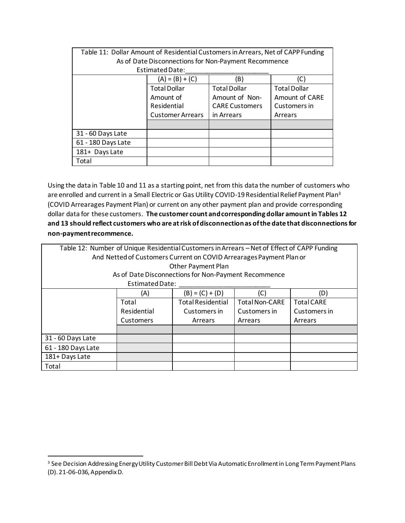| Table 11: Dollar Amount of Residential Customers in Arrears, Net of CAPP Funding |                                                      |                       |                     |  |  |  |
|----------------------------------------------------------------------------------|------------------------------------------------------|-----------------------|---------------------|--|--|--|
|                                                                                  | As of Date Disconnections for Non-Payment Recommence |                       |                     |  |  |  |
|                                                                                  | <b>Estimated Date:</b>                               |                       |                     |  |  |  |
|                                                                                  | $(A) = (B) + (C)$                                    | (B)                   | (C)                 |  |  |  |
|                                                                                  | <b>Total Dollar</b>                                  | <b>Total Dollar</b>   | <b>Total Dollar</b> |  |  |  |
|                                                                                  | Amount of                                            | Amount of Non-        | Amount of CARE      |  |  |  |
|                                                                                  | Residential                                          | <b>CARE Customers</b> | Customers in        |  |  |  |
|                                                                                  | <b>Customer Arrears</b><br>in Arrears<br>Arrears     |                       |                     |  |  |  |
|                                                                                  |                                                      |                       |                     |  |  |  |
| 31 - 60 Days Late                                                                |                                                      |                       |                     |  |  |  |
| 61 - 180 Days Late                                                               |                                                      |                       |                     |  |  |  |
| 181+ Days Late                                                                   |                                                      |                       |                     |  |  |  |
| Total                                                                            |                                                      |                       |                     |  |  |  |

Using the data in Table 10 and 11 as a starting point, net from this data the number of customers who are enrolled and current in a Small Electric or Gas Utility COVID-19 Residential Relief Payment Plan<sup>3</sup> (COVID Arrearages Payment Plan) or current on any other payment plan and provide corresponding dollar data for these customers. **The customer count and corresponding dollar amount in Tables 12 and 13 should reflect customers who are at risk of disconnection as of the date that disconnections for non-paymentrecommence.**

| Table 12: Number of Unique Residential Customers in Arrears - Net of Effect of CAPP Funding |                                                                     |                                                      |  |                   |  |  |
|---------------------------------------------------------------------------------------------|---------------------------------------------------------------------|------------------------------------------------------|--|-------------------|--|--|
|                                                                                             | And Netted of Customers Current on COVID Arrearages Payment Plan or |                                                      |  |                   |  |  |
|                                                                                             |                                                                     | Other Payment Plan                                   |  |                   |  |  |
|                                                                                             |                                                                     | As of Date Disconnections for Non-Payment Recommence |  |                   |  |  |
|                                                                                             | <b>Estimated Date:</b>                                              |                                                      |  |                   |  |  |
|                                                                                             | (C)<br>$(B) = (C) + (D)$<br>(D)<br>(A)                              |                                                      |  |                   |  |  |
| <b>Total Residential</b><br><b>Total Non-CARE</b><br>Total                                  |                                                                     |                                                      |  | <b>Total CARE</b> |  |  |
|                                                                                             | Residential<br>Customers in<br>Customers in<br>Customers in         |                                                      |  |                   |  |  |
|                                                                                             | <b>Customers</b><br>Arrears<br>Arrears<br>Arrears                   |                                                      |  |                   |  |  |
|                                                                                             |                                                                     |                                                      |  |                   |  |  |
| 31 - 60 Days Late                                                                           |                                                                     |                                                      |  |                   |  |  |
| 61 - 180 Days Late                                                                          |                                                                     |                                                      |  |                   |  |  |
| 181+ Days Late                                                                              |                                                                     |                                                      |  |                   |  |  |
| Total                                                                                       |                                                                     |                                                      |  |                   |  |  |

<sup>&</sup>lt;sup>3</sup> See Decision Addressing Energy Utility Customer Bill Debt Via Automatic Enrollment in Long Term Payment Plans (D). 21-06-036, AppendixD.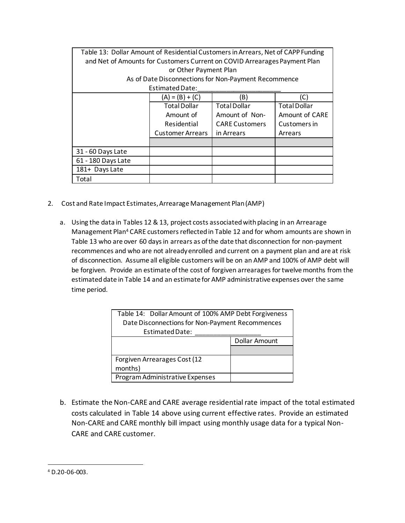| Table 13: Dollar Amount of Residential Customers in Arrears, Net of CAPP Funding |                         |                       |                       |  |  |
|----------------------------------------------------------------------------------|-------------------------|-----------------------|-----------------------|--|--|
| and Net of Amounts for Customers Current on COVID Arrearages Payment Plan        |                         |                       |                       |  |  |
| or Other Payment Plan                                                            |                         |                       |                       |  |  |
| As of Date Disconnections for Non-Payment Recommence                             |                         |                       |                       |  |  |
| <b>Estimated Date:</b>                                                           |                         |                       |                       |  |  |
|                                                                                  | $(A) = (B) + (C)$       | (B)                   | (C)                   |  |  |
|                                                                                  | <b>Total Dollar</b>     | <b>Total Dollar</b>   | <b>Total Dollar</b>   |  |  |
|                                                                                  | Amount of               | Amount of Non-        | <b>Amount of CARE</b> |  |  |
|                                                                                  | Residential             | <b>CARE Customers</b> | Customers in          |  |  |
|                                                                                  | <b>Customer Arrears</b> | in Arrears            | Arrears               |  |  |
|                                                                                  |                         |                       |                       |  |  |
| 31 - 60 Days Late                                                                |                         |                       |                       |  |  |
| 61 - 180 Days Late                                                               |                         |                       |                       |  |  |
| 181+ Days Late                                                                   |                         |                       |                       |  |  |
| Total                                                                            |                         |                       |                       |  |  |

- 2. Cost and Rate Impact Estimates, Arrearage Management Plan (AMP)
	- a. Using the data in Tables 12 & 13, project costs associated with placing in an Arrearage Management Plan<sup>4</sup> CARE customers reflected in Table 12 and for whom amounts are shown in Table 13 who are over 60 days in arrears as of the date that disconnection for non-payment recommences and who are not already enrolled and current on a payment plan and are at risk of disconnection. Assume all eligible customers will be on an AMP and 100% of AMP debt will be forgiven. Provide an estimate of the cost of forgiven arrearages for twelve months from the estimated date in Table 14 and an estimate for AMP administrative expenses over the same time period.

| Table 14: Dollar Amount of 100% AMP Debt Forgiveness |               |  |  |  |
|------------------------------------------------------|---------------|--|--|--|
| Date Disconnections for Non-Payment Recommences      |               |  |  |  |
| <b>Estimated Date:</b>                               |               |  |  |  |
|                                                      | Dollar Amount |  |  |  |
|                                                      |               |  |  |  |
| Forgiven Arrearages Cost (12                         |               |  |  |  |
| months)                                              |               |  |  |  |
| Program Administrative Expenses                      |               |  |  |  |

b. Estimate the Non-CARE and CARE average residential rate impact of the total estimated costs calculated in Table 14 above using current effective rates. Provide an estimated Non-CARE and CARE monthly bill impact using monthly usage data for a typical Non-CARE and CARE customer.

<sup>4</sup> D.20-06-003.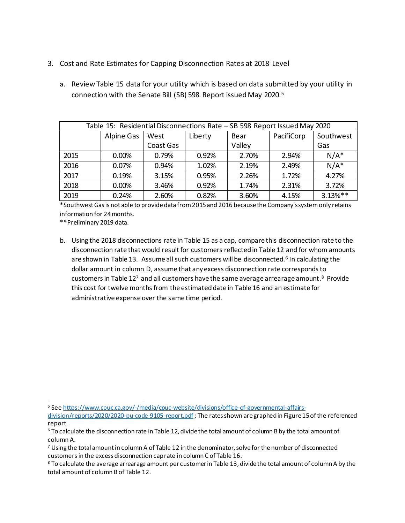- 3. Cost and Rate Estimates for Capping Disconnection Rates at 2018 Level
	- a. Review Table 15 data for your utility which is based on data submitted by your utility in connection with the Senate Bill (SB) 598 Report issued May 2020.<sup>5</sup>

| Table 15: Residential Disconnections Rate - SB 598 Report Issued May 2020 |            |           |         |        |            |            |
|---------------------------------------------------------------------------|------------|-----------|---------|--------|------------|------------|
|                                                                           | Alpine Gas | West      | Liberty | Bear   | PacifiCorp | Southwest  |
|                                                                           |            | Coast Gas |         | Valley |            | Gas        |
| 2015                                                                      | 0.00%      | 0.79%     | 0.92%   | 2.70%  | 2.94%      | $N/A^*$    |
| 2016                                                                      | 0.07%      | 0.94%     | 1.02%   | 2.19%  | 2.49%      | $N/A^*$    |
| 2017                                                                      | 0.19%      | 3.15%     | 0.95%   | 2.26%  | 1.72%      | 4.27%      |
| 2018                                                                      | 0.00%      | 3.46%     | 0.92%   | 1.74%  | 2.31%      | 3.72%      |
| 2019                                                                      | 0.24%      | 2.60%     | 0.82%   | 3.60%  | 4.15%      | $3.13%$ ** |

\*Southwest Gas is not able to provide data from 2015 and 2016 because the Company's system only retains information for 24 months.

\*\*Preliminary 2019 data.

b. Using the 2018 disconnections rate in Table 15 as a cap, compare this disconnection rate to the disconnection rate that would result for customers reflectedin Table 12 and for whom amounts are shown in Table 13. Assume all such customers will be disconnected.<sup>6</sup> In calculating the dollar amount in column D, assume that anyexcess disconnection rate corresponds to customers in Table 12<sup>7</sup> and all customers have the same average arrearage amount.<sup>8</sup> Provide this cost for twelve months from the estimated date in Table 16 and an estimate for administrative expense over the same time period.

<sup>5</sup> Se[e https://www.cpuc.ca.gov/-/media/cpuc-website/divisions/office-of-governmental-affairs-](https://www.cpuc.ca.gov/-/media/cpuc-website/divisions/office-of-governmental-affairs-division/reports/2020/2020-pu-code-9105-report.pdf)

[division/reports/2020/2020-pu-code-9105-report.pdf](https://www.cpuc.ca.gov/-/media/cpuc-website/divisions/office-of-governmental-affairs-division/reports/2020/2020-pu-code-9105-report.pdf) ; The rates shown are graphed in Figure 15 of the referenced report.

<sup>6</sup> To calculate the disconnection rate in Table 12, divide the total amount of column B by the total amount of column A.

 $7$  Using the total amount in column A of Table 12 in the denominator, solve for the number of disconnected customersin the excess disconnection cap rate in column C of Table 16.

<sup>8</sup> To calculate the average arrearage amount per customerin Table 13, divide the total amount of column A by the total amount of column B of Table 12.